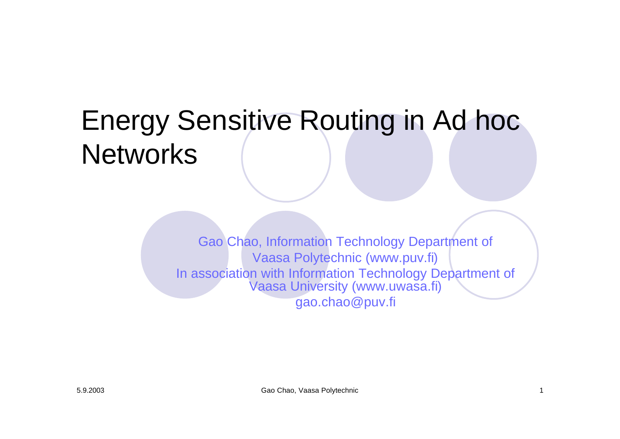# Energy Sensitive Routing in Ad hoc **Networks**

Gao Chao, Information Technology Department of Vaasa Polytechnic (www.puv.fi) In association with Information Technology Department of Vaasa University (www.uwasa.fi) gao.chao@puv.fi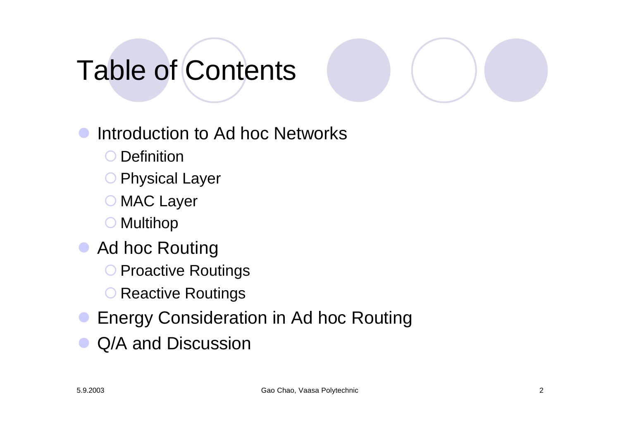# Table of Contents

- Introduction to Ad hoc Networks
	- O Definition
	- O Physical Layer
	- O MAC Layer
	- ° Multihop
- **Ad hoc Routing** 
	- O Proactive Routings
	- O Reactive Routings
- **Energy Consideration in Ad hoc Routing**
- Q/A and Discussion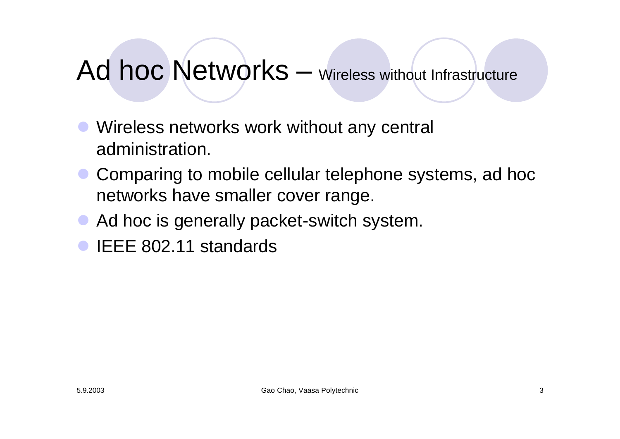#### Ad hoc Networks – Wireless without Infrastructure

- Wireless networks work without any central administration.
- Comparing to mobile cellular telephone systems, ad hoc networks have smaller cover range.
- Ad hoc is generally packet-switch system.
- l IEEE 802.11 standards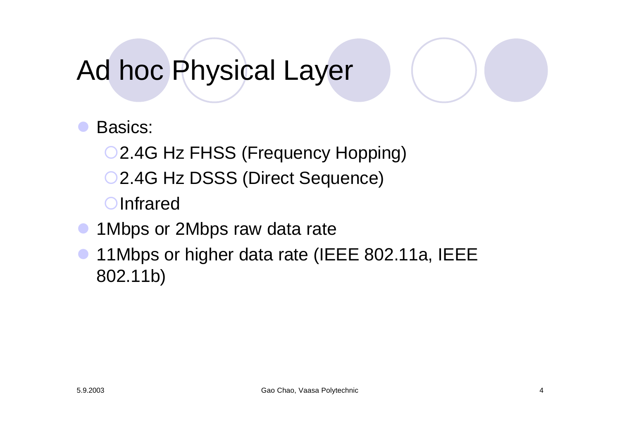# Ad hoc Physical Layer

- Basics:
	- O 2.4G Hz FHSS (Frequency Hopping)
	- O 2.4G Hz DSSS (Direct Sequence)
	- O Infrared
- 1 Mbps or 2 Mbps raw data rate
- l 11Mbps or higher data rate (IEEE 802.11a, IEEE 802.11b)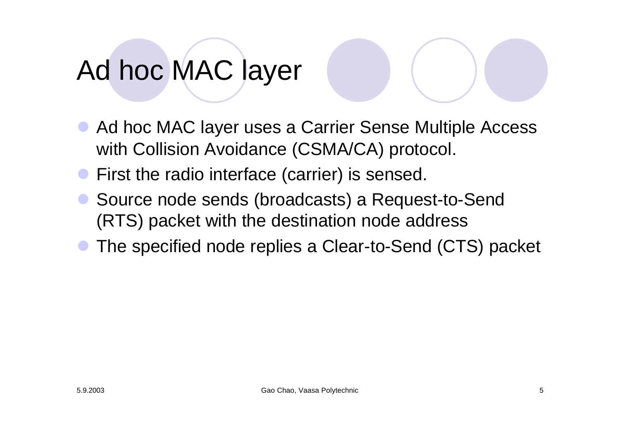# Ad hoc MAC layer

- Ad hoc MAC layer uses a Carrier Sense Multiple Access with Collision Avoidance (CSMA/CA) protocol.
- First the radio interface (carrier) is sensed.
- Source node sends (broadcasts) a Request-to-Send (RTS) packet with the destination node address
- The specified node replies a Clear-to-Send (CTS) packet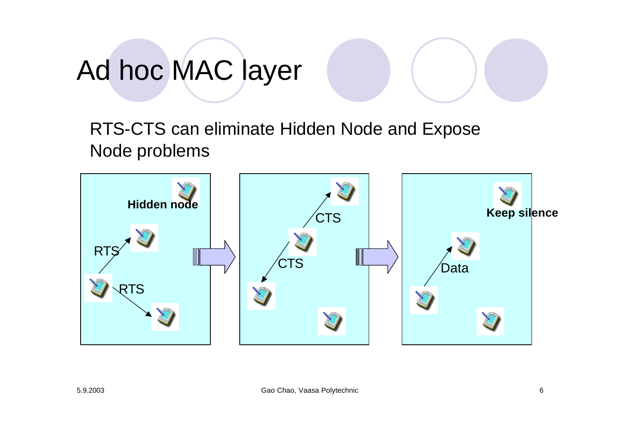# Ad hoc MAC layer

RTS-CTS can eliminate Hidden Node and Expose Node problems

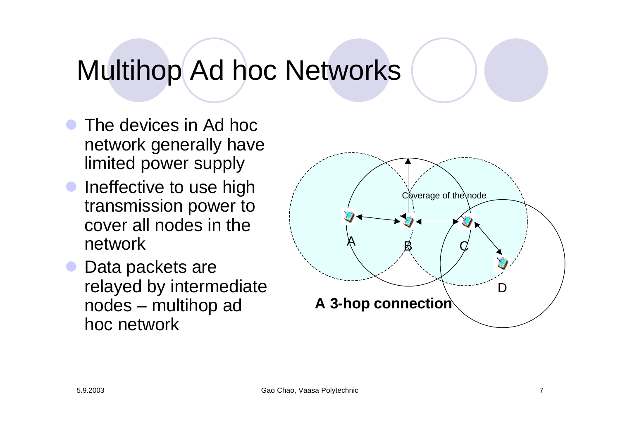# Multihop Ad hoc Networks

- The devices in Ad hoc network generally have limited power supply
- Ineffective to use high transmission power to cover all nodes in the network
- **Data packets are** relayed by intermediate nodes – multihop ad hoc network

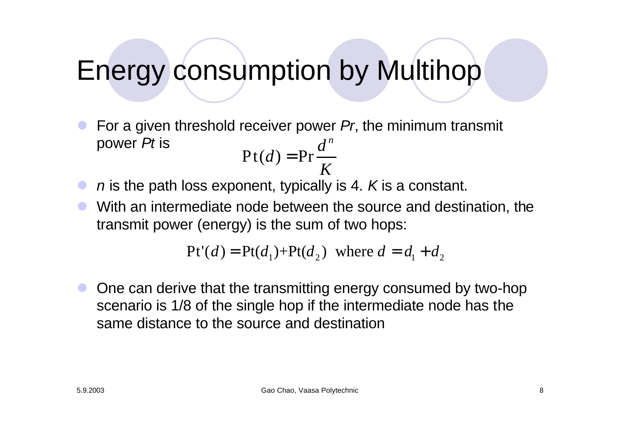## Energy consumption by Multihop

l For a given threshold receiver power *Pr*, the minimum transmit power *Pt* is  $Pt(d) = Pr$  $d^n$ *d* =

- *n* is the path loss exponent, typically is 4. *K* is a constant. *K*
- With an intermediate node between the source and destination, the transmit power (energy) is the sum of two hops:

$$
Pt'(d) = Pt(d_1) + Pt(d_2) \text{ where } d = d_1 + d_2
$$

One can derive that the transmitting energy consumed by two-hop scenario is 1/8 of the single hop if the intermediate node has the same distance to the source and destination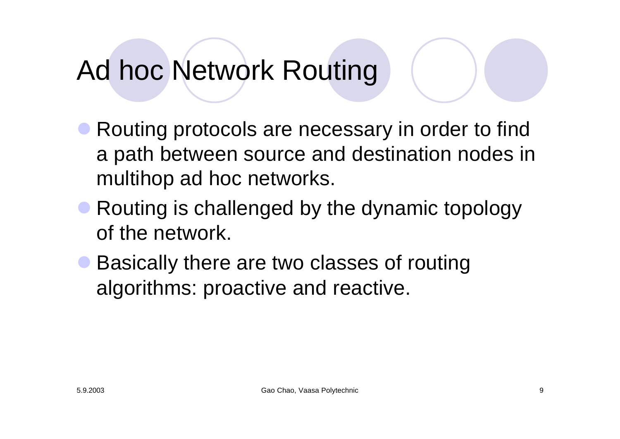# Ad hoc Network Routing

- Routing protocols are necessary in order to find a path between source and destination nodes in multihop ad hoc networks.
- Routing is challenged by the dynamic topology of the network.
- Basically there are two classes of routing algorithms: proactive and reactive.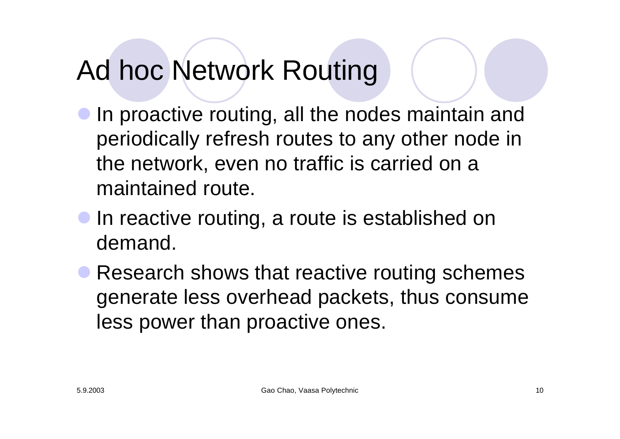# Ad hoc Network Routing

- In proactive routing, all the nodes maintain and periodically refresh routes to any other node in the network, even no traffic is carried on a maintained route.
- **In reactive routing, a route is established on** demand.
- Research shows that reactive routing schemes generate less overhead packets, thus consume less power than proactive ones.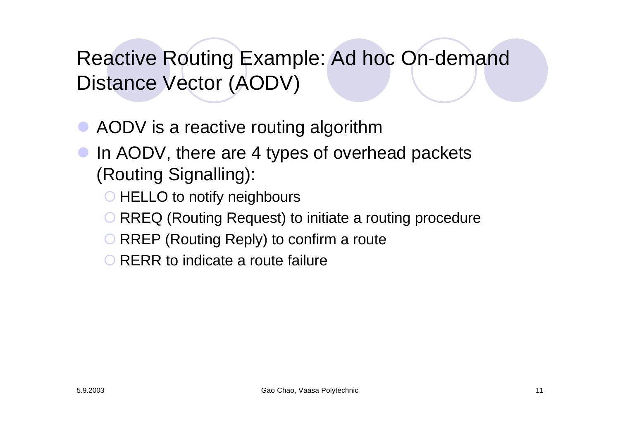#### Reactive Routing Example: Ad hoc On-demand Distance Vector (AODV)

• AODV is a reactive routing algorithm

- In AODV, there are 4 types of overhead packets (Routing Signalling):
	- HELLO to notify neighbours
	- RREQ (Routing Request) to initiate a routing procedure
	- RREP (Routing Reply) to confirm a route
	- O RERR to indicate a route failure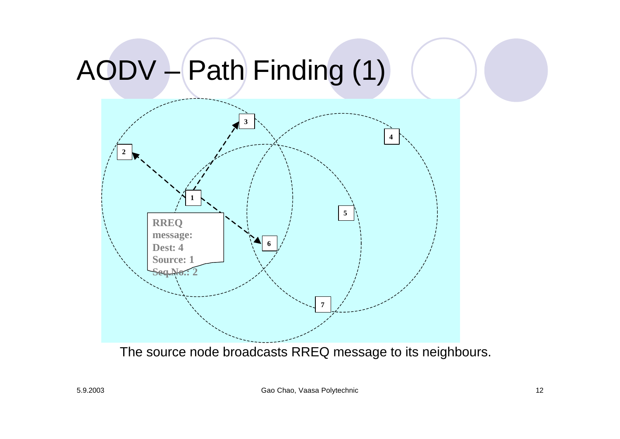# AODV – Path Finding (1)



The source node broadcasts RREQ message to its neighbours.

5.9.2003 Gao Chao, Vaasa Polytechnic 12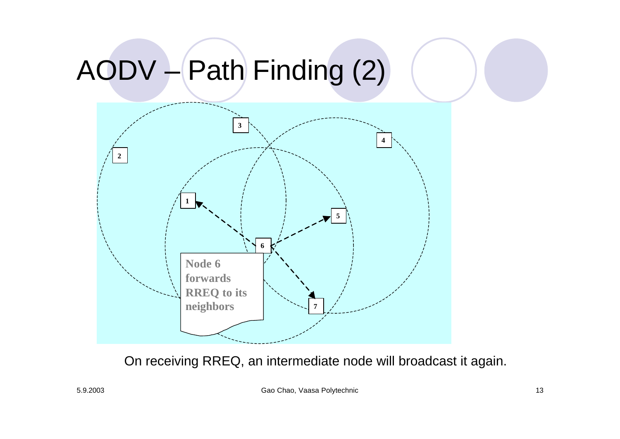# AODV – Path Finding (2)



On receiving RREQ, an intermediate node will broadcast it again.

5.9.2003 Gao Chao, Vaasa Polytechnic 13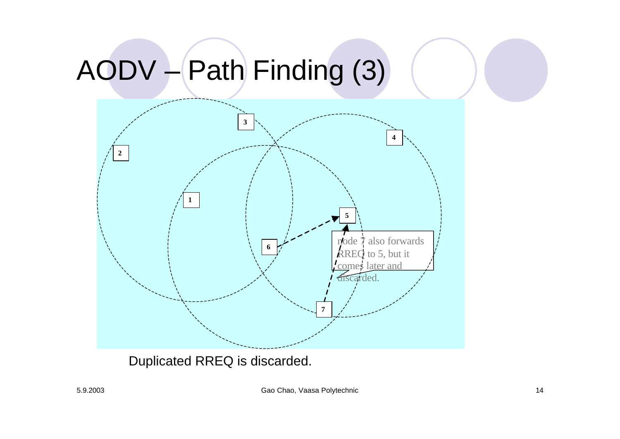# AODV – Path Finding (3)



Duplicated RREQ is discarded.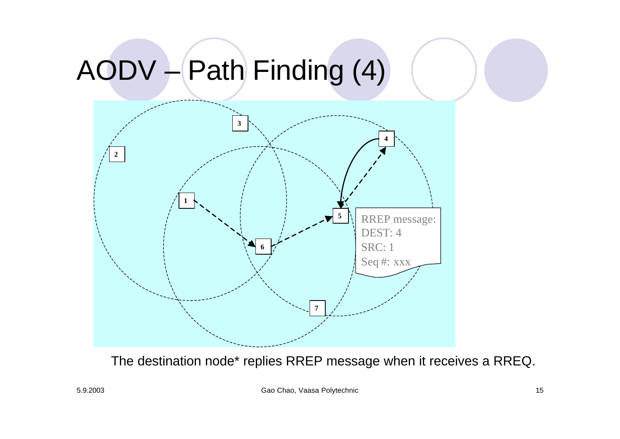# AODV – Path Finding (4)



The destination node\* replies RREP message when it receives a RREQ.

5.9.2003 Gao Chao, Vaasa Polytechnic 15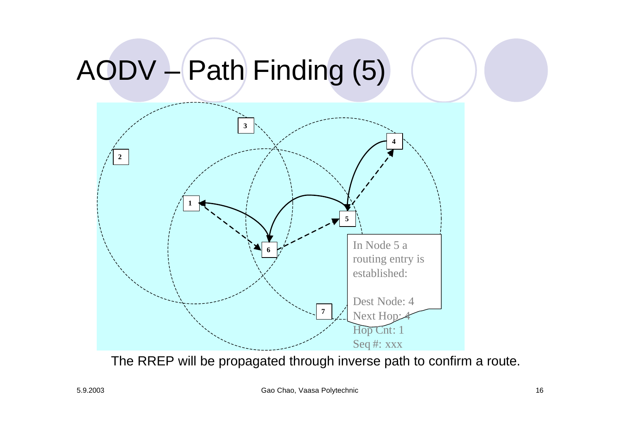# AODV – Path Finding (5)



The RREP will be propagated through inverse path to confirm a route.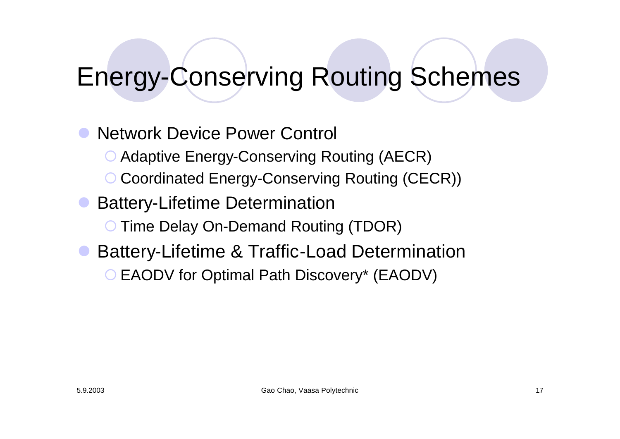#### Energy-Conserving Routing Schemes

l Network Device Power Control O Adaptive Energy-Conserving Routing (AECR) ° Coordinated Energy-Conserving Routing (CECR)) **Battery-Lifetime Determination** Time Delay On-Demand Routing (TDOR) Battery-Lifetime & Traffic-Load Determination ° EAODV for Optimal Path Discovery\* (EAODV)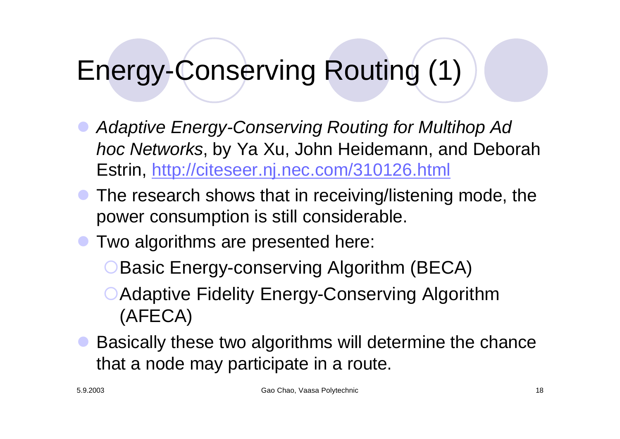# Energy-Conserving Routing (1)

- Adaptive Energy-Conserving Routing for Multihop Ad *hoc Networks*, by Ya Xu, John Heidemann, and Deborah Estrin, http://citeseer.nj.nec.com/310126.html
- The research shows that in receiving/listening mode, the power consumption is still considerable.
- Two algorithms are presented here:
	- **OBasic Energy-conserving Algorithm (BECA)**
	- ○Adaptive Fidelity Energy-Conserving Algorithm (AFECA)
- Basically these two algorithms will determine the chance that a node may participate in a route.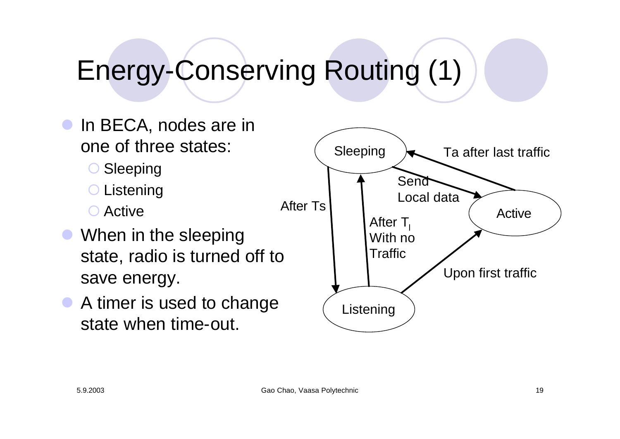# Energy-Conserving Routing (1)

- **In BECA, nodes are in** one of three states:
	- Sleeping
	- **O** Listening
	- Active
- When in the sleeping state, radio is turned off to save energy.
- A timer is used to change state when time-out.

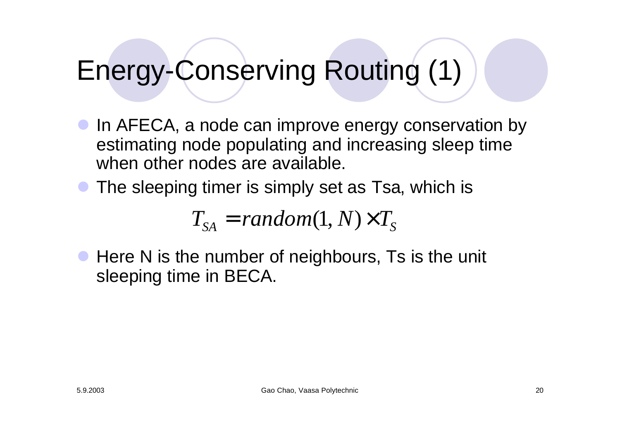# Energy-Conserving Routing (1)

- In AFECA, a node can improve energy conservation by estimating node populating and increasing sleep time when other nodes are available.
- The sleeping timer is simply set as Tsa, which is

$$
T_{SA} = random(1, N) \times T_S
$$

• Here N is the number of neighbours, Ts is the unit sleeping time in BECA.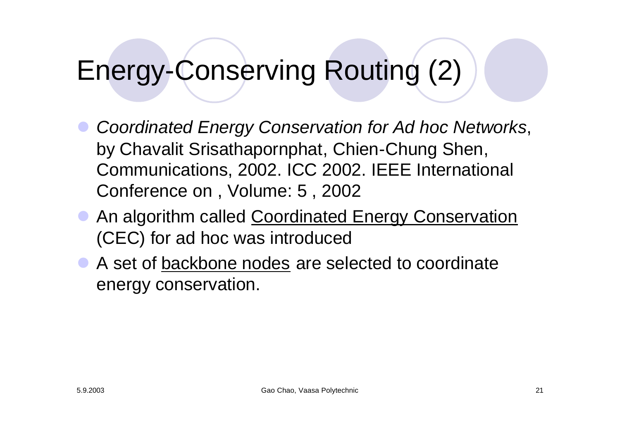# Energy-Conserving Routing (2)

- **Coordinated Energy Conservation for Ad hoc Networks,** by Chavalit Srisathapornphat, Chien-Chung Shen, Communications, 2002. ICC 2002. IEEE International Conference on , Volume: 5 , 2002
- **An algorithm called Coordinated Energy Conservation** (CEC) for ad hoc was introduced
- A set of backbone nodes are selected to coordinate energy conservation.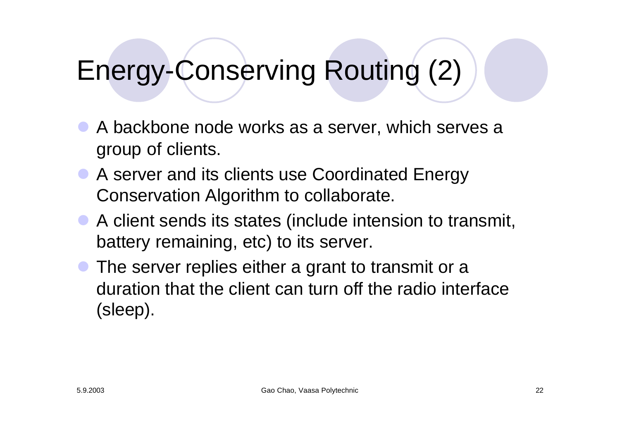# Energy-Conserving Routing (2)

- A backbone node works as a server, which serves a group of clients.
- A server and its clients use Coordinated Energy Conservation Algorithm to collaborate.
- A client sends its states (include intension to transmit, battery remaining, etc) to its server.
- The server replies either a grant to transmit or a duration that the client can turn off the radio interface (sleep).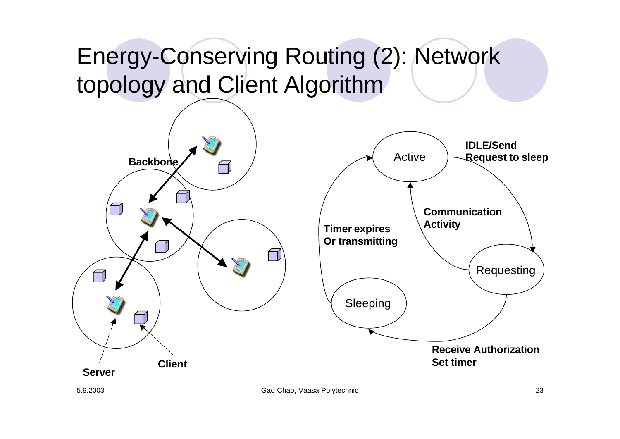#### Energy-Conserving Routing (2): Network topology and Client Algorithm



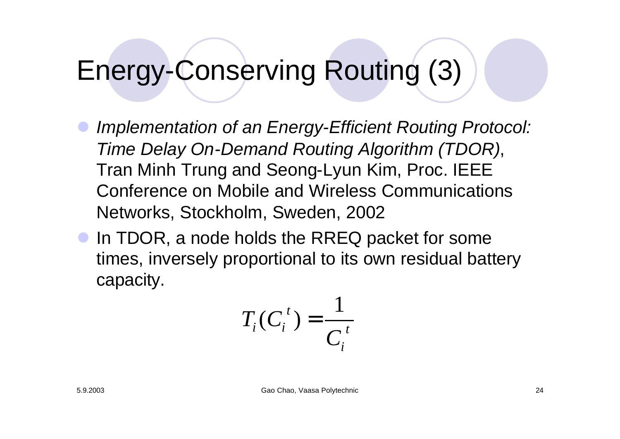# Energy-Conserving Routing (3)

- **Implementation of an Energy-Efficient Routing Protocol:** *Time Delay On-Demand Routing Algorithm (TDOR)*, Tran Minh Trung and Seong-Lyun Kim, Proc. IEEE Conference on Mobile and Wireless Communications Networks, Stockholm, Sweden, 2002
- **In TDOR, a node holds the RREQ packet for some** times, inversely proportional to its own residual battery capacity.

$$
T_i(C_i^t) = \frac{1}{C_i^t}
$$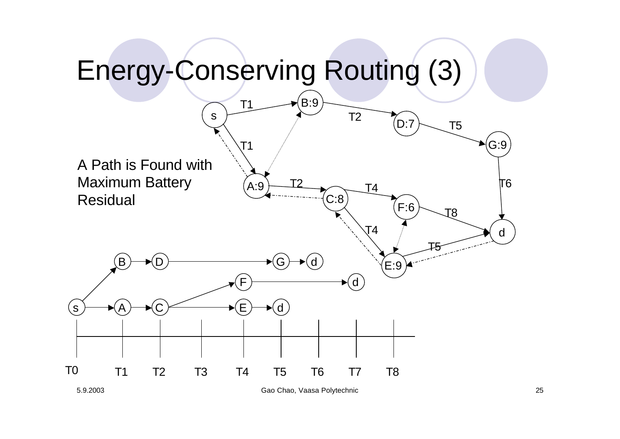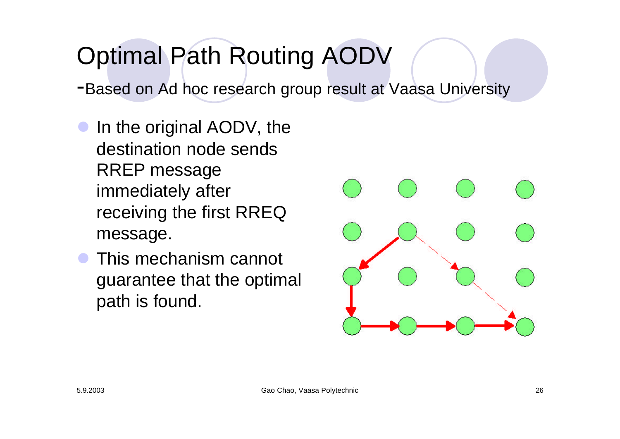# Optimal Path Routing AODV

-Based on Ad hoc research group result at Vaasa University

- In the original AODV, the destination node sends RREP message immediately after receiving the first RREQ message.
- This mechanism cannot guarantee that the optimal path is found.

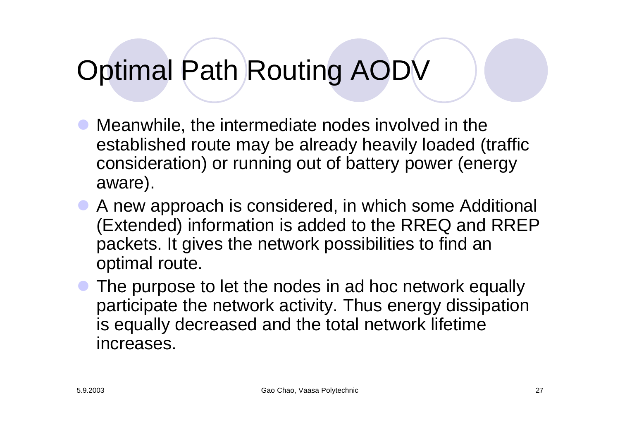# Optimal Path Routing AODV

- Meanwhile, the intermediate nodes involved in the established route may be already heavily loaded (traffic consideration) or running out of battery power (energy aware).
- **A new approach is considered, in which some Additional** (Extended) information is added to the RREQ and RREP packets. It gives the network possibilities to find an optimal route.
- The purpose to let the nodes in ad hoc network equally participate the network activity. Thus energy dissipation is equally decreased and the total network lifetime increases.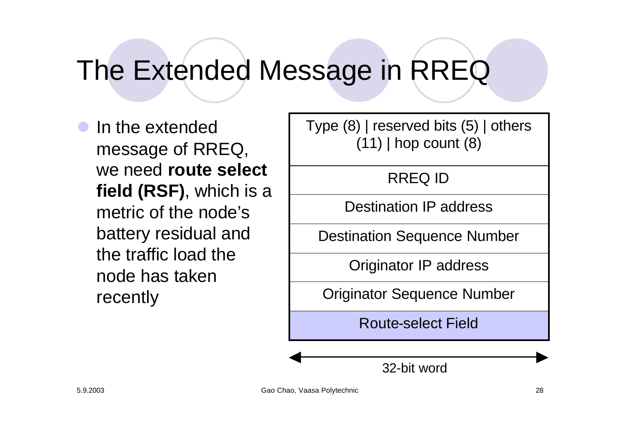## The Extended Message in RREQ

In the extended message of RREQ, we need **route select field (RSF)**, which is a metric of the node's battery residual and the traffic load the node has taken recently

Type (8) | reserved bits (5) | others (11) | hop count (8)

RREQ ID

Destination IP address

Destination Sequence Number

Originator IP address

Originator Sequence Number

Route-select Field

32-bit word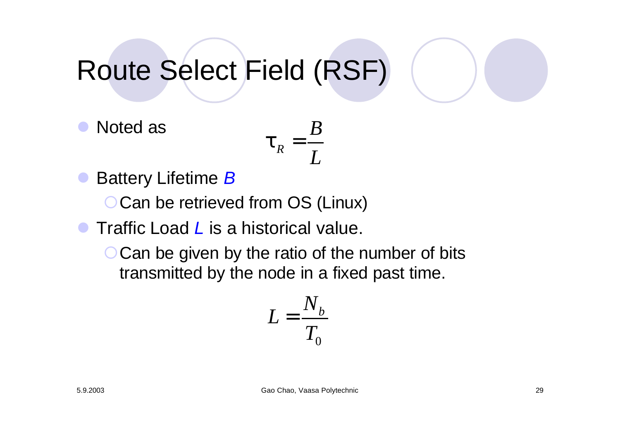# Route Select Field (RSF)

Noted as

$$
\boldsymbol{t}_{R}=\frac{B}{L}
$$

l Battery Lifetime *B*

○ Can be retrieved from OS (Linux)

l Traffic Load *L* is a historical value.

 $\bigcirc$  Can be given by the ratio of the number of bits transmitted by the node in a fixed past time.

$$
L = \frac{N_b}{T_0}
$$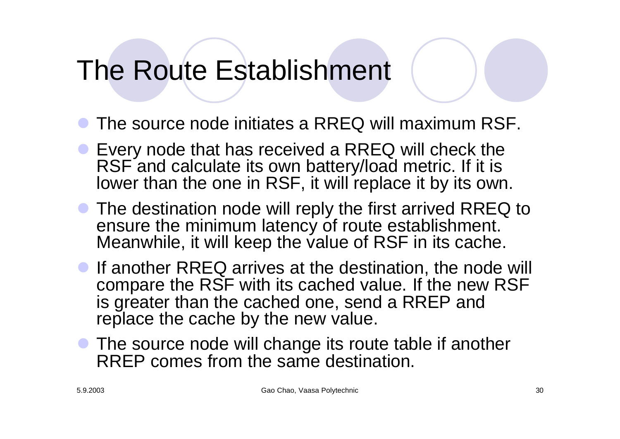### The Route Establishment

- The source node initiates a RREQ will maximum RSF.
- **Every node that has received a RREQ will check the** RSF and calculate its own battery/load metric. If it is lower than the one in RSF, it will replace it by its own.
- **The destination node will reply the first arrived RREQ to** ensure the minimum latency of route establishment. Meanwhile, it will keep the value of RSF in its cache.
- **If another RREQ arrives at the destination, the node will** compare the RSF with its cached value. If the new RSF is greater than the cached one, send a RREP and replace the cache by the new value.
- The source node will change its route table if another RREP comes from the same destination.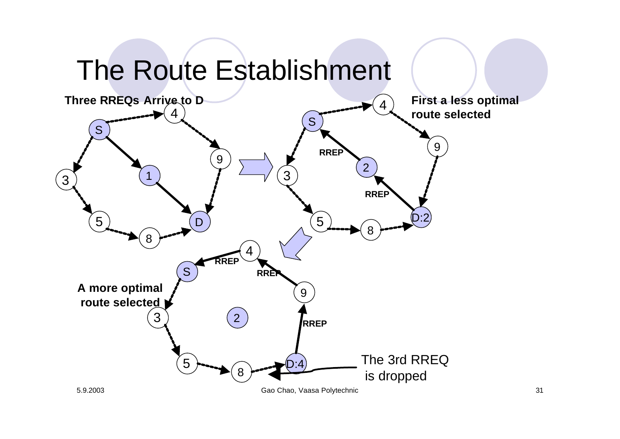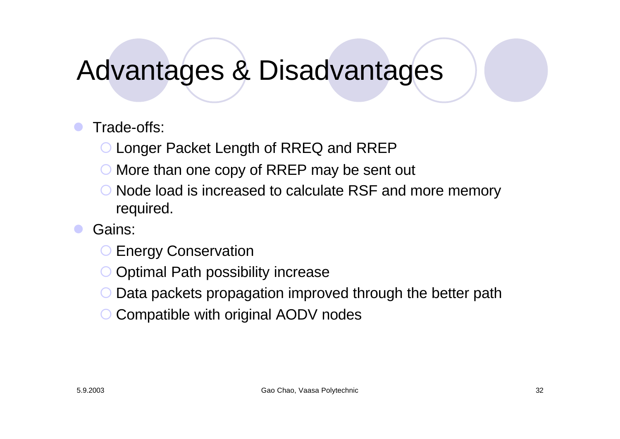### Advantages & Disadvantages

#### Trade-offs:

- ° Longer Packet Length of RREQ and RREP
- ° More than one copy of RREP may be sent out
- ° Node load is increased to calculate RSF and more memory required.
- Gains:
	- **C** Energy Conservation
	- ° Optimal Path possibility increase
	- Data packets propagation improved through the better path
	- Compatible with original AODV nodes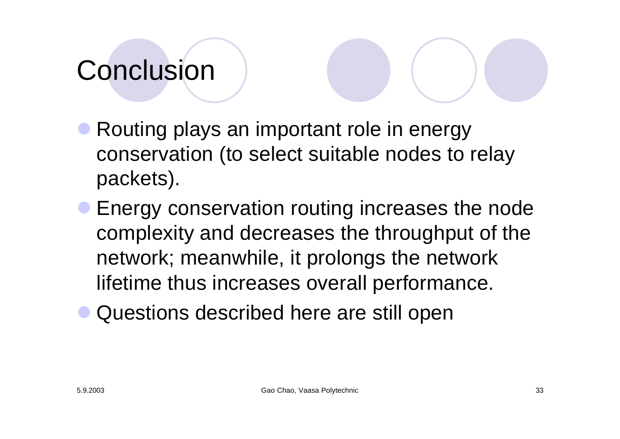# Conclusion

- Routing plays an important role in energy conservation (to select suitable nodes to relay packets).
- **Energy conservation routing increases the node** complexity and decreases the throughput of the network; meanwhile, it prolongs the network lifetime thus increases overall performance.
- Questions described here are still open